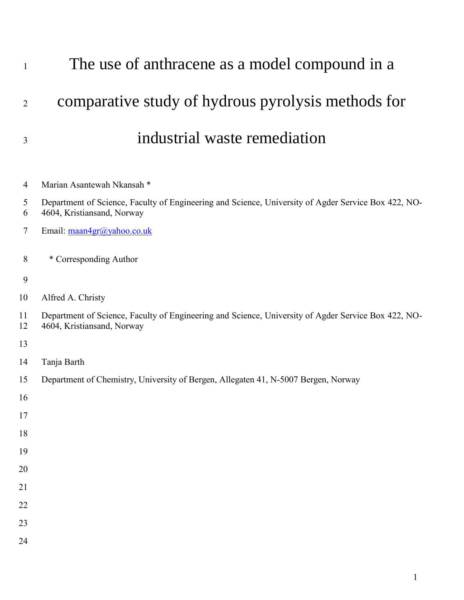| $\mathbf{1}$   | The use of anthracene as a model compound in a                                                                                    |
|----------------|-----------------------------------------------------------------------------------------------------------------------------------|
| $\overline{2}$ | comparative study of hydrous pyrolysis methods for                                                                                |
| 3              | industrial waste remediation                                                                                                      |
| 4              | Marian Asantewah Nkansah *                                                                                                        |
| 5<br>6         | Department of Science, Faculty of Engineering and Science, University of Agder Service Box 422, NO-<br>4604, Kristiansand, Norway |
| $\tau$         | Email: maan4gr@yahoo.co.uk                                                                                                        |
| 8              | * Corresponding Author                                                                                                            |
| 9              |                                                                                                                                   |
| 10             | Alfred A. Christy                                                                                                                 |
| 11<br>12       | Department of Science, Faculty of Engineering and Science, University of Agder Service Box 422, NO-<br>4604, Kristiansand, Norway |
| 13             |                                                                                                                                   |
| 14             | Tanja Barth                                                                                                                       |
| 15             | Department of Chemistry, University of Bergen, Allegaten 41, N-5007 Bergen, Norway                                                |
| 16             |                                                                                                                                   |
| 17             |                                                                                                                                   |
| 18             |                                                                                                                                   |
| 19             |                                                                                                                                   |
| 20             |                                                                                                                                   |
| 21             |                                                                                                                                   |
| 22             |                                                                                                                                   |
| 23             |                                                                                                                                   |
| 24             |                                                                                                                                   |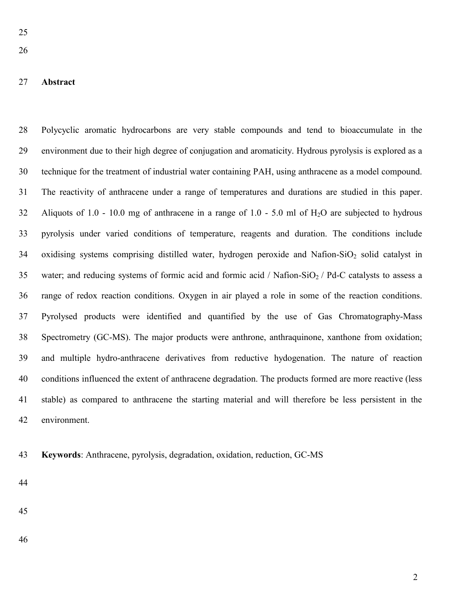#### **Abstract**

 Polycyclic aromatic hydrocarbons are very stable compounds and tend to bioaccumulate in the environment due to their high degree of conjugation and aromaticity. Hydrous pyrolysis is explored as a technique for the treatment of industrial water containing PAH, using anthracene as a model compound. The reactivity of anthracene under a range of temperatures and durations are studied in this paper. Aliquots of 1.0 - 10.0 mg of anthracene in a range of 1.0 - 5.0 ml of H2O are subjected to hydrous pyrolysis under varied conditions of temperature, reagents and duration. The conditions include 34 oxidising systems comprising distilled water, hydrogen peroxide and Nafion-SiO<sub>2</sub> solid catalyst in 35 water; and reducing systems of formic acid and formic acid / Nafion-SiO<sub>2</sub> / Pd-C catalysts to assess a range of redox reaction conditions. Oxygen in air played a role in some of the reaction conditions. Pyrolysed products were identified and quantified by the use of Gas Chromatography-Mass Spectrometry (GC-MS). The major products were anthrone, anthraquinone, xanthone from oxidation; and multiple hydro-anthracene derivatives from reductive hydogenation. The nature of reaction conditions influenced the extent of anthracene degradation. The products formed are more reactive (less stable) as compared to anthracene the starting material and will therefore be less persistent in the environment.

**Keywords**: Anthracene, pyrolysis, degradation, oxidation, reduction, GC-MS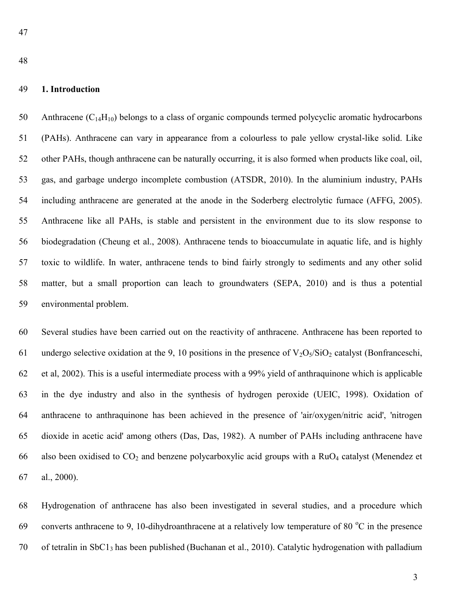#### **1. Introduction**

50 Anthracene  $(C_{14}H_{10})$  belongs to a class of organic compounds termed polycyclic aromatic hydrocarbons (PAHs). Anthracene can vary in appearance from a colourless to pale yellow crystal-like solid. Like other PAHs, though anthracene can be naturally occurring, it is also formed when products like coal, oil, gas, and garbage undergo incomplete combustion (ATSDR, 2010). In the aluminium industry, PAHs including anthracene are generated at the anode in the Soderberg electrolytic furnace (AFFG, 2005). Anthracene like all PAHs, is stable and persistent in the environment due to its slow response to biodegradation (Cheung et al., 2008). Anthracene tends to bioaccumulate in aquatic life, and is highly toxic to wildlife. In water, anthracene tends to bind fairly strongly to sediments and any other solid matter, but a small proportion can leach to groundwaters (SEPA, 2010) and is thus a potential environmental problem.

 Several studies have been carried out on the reactivity of anthracene. Anthracene has been reported to 61 undergo selective oxidation at the 9, 10 positions in the presence of  $V_2O_5/SiO_2$  catalyst (Bonfranceschi, et al, 2002). This is a useful intermediate process with a 99% yield of anthraquinone which is applicable in the dye industry and also in the synthesis of hydrogen peroxide (UEIC, 1998). Oxidation of anthracene to anthraquinone has been achieved in the presence of 'air/oxygen/nitric acid', 'nitrogen dioxide in acetic acid' among others (Das, Das, 1982). A number of PAHs including anthracene have 66 also been oxidised to  $CO_2$  and benzene polycarboxylic acid groups with a RuO<sub>4</sub> catalyst (Menendez et al., 2000).

 Hydrogenation of anthracene has also been investigated in several studies, and a procedure which 69 converts anthracene to 9, 10-dihydroanthracene at a relatively low temperature of 80 $\degree$ C in the presence of tetralin in SbC13 has been published (Buchanan et al., 2010). Catalytic hydrogenation with palladium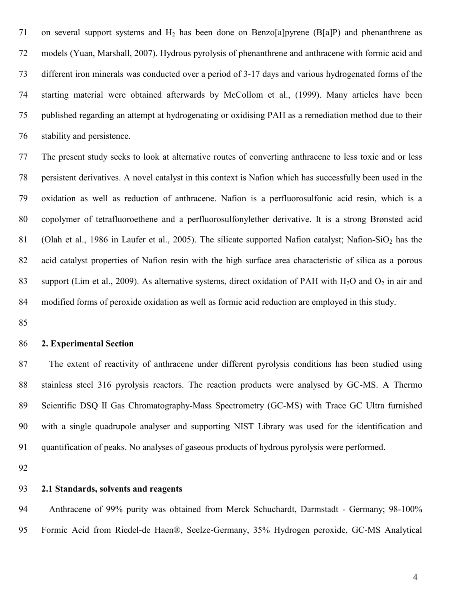71 on several support systems and  $H_2$  has been done on Benzo[a]pyrene (B[a]P) and phenanthrene as models (Yuan, Marshall, 2007). Hydrous pyrolysis of phenanthrene and anthracene with formic acid and different iron minerals was conducted over a period of 3-17 days and various hydrogenated forms of the starting material were obtained afterwards by McCollom et al., (1999). Many articles have been published regarding an attempt at hydrogenating or oxidising PAH as a remediation method due to their stability and persistence.

 The present study seeks to look at alternative routes of converting anthracene to less toxic and or less persistent derivatives. A novel catalyst in this context is Nafion which has successfully been used in the oxidation as well as reduction of anthracene. Nafion is a perfluorosulfonic acid resin, which is a copolymer of tetrafluoroethene and a perfluorosulfonylether derivative. It is a strong Brønsted acid 81 (Olah et al., 1986 in Laufer et al., 2005). The silicate supported Nafion catalyst; Nafion-SiO<sub>2</sub> has the acid catalyst properties of Nafion resin with the high surface area characteristic of silica as a porous 83 support (Lim et al., 2009). As alternative systems, direct oxidation of PAH with H<sub>2</sub>O and  $O_2$  in air and modified forms of peroxide oxidation as well as formic acid reduction are employed in this study.

#### **2. Experimental Section**

 The extent of reactivity of anthracene under different pyrolysis conditions has been studied using stainless steel 316 pyrolysis reactors. The reaction products were analysed by GC-MS. A Thermo Scientific DSQ II Gas Chromatography-Mass Spectrometry (GC-MS) with Trace GC Ultra furnished with a single quadrupole analyser and supporting NIST Library was used for the identification and quantification of peaks. No analyses of gaseous products of hydrous pyrolysis were performed.

#### **2.1 Standards, solvents and reagents**

 Anthracene of 99% purity was obtained from Merck Schuchardt, Darmstadt - Germany; 98-100% Formic Acid from Riedel-de Haen®, Seelze-Germany, 35% Hydrogen peroxide, GC-MS Analytical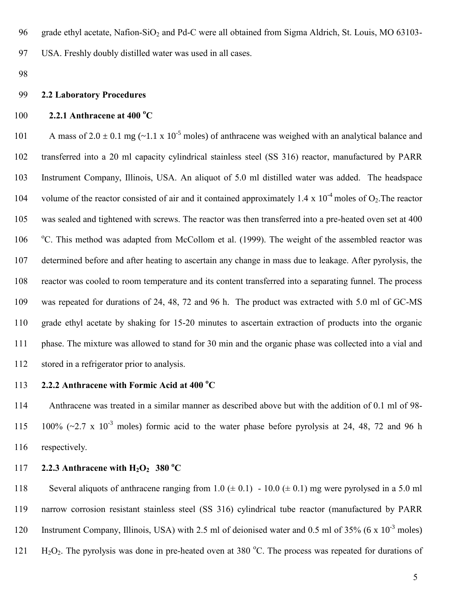96 grade ethyl acetate, Nafion-SiO<sub>2</sub> and Pd-C were all obtained from Sigma Aldrich, St. Louis, MO 63103-

97 USA. Freshly doubly distilled water was used in all cases.

98

#### 99 **2.2 Laboratory Procedures**

# **2.2.1 Anthracene at 400 °C**

101 A mass of  $2.0 \pm 0.1$  mg (~1.1 x 10<sup>-5</sup> moles) of anthracene was weighed with an analytical balance and transferred into a 20 ml capacity cylindrical stainless steel (SS 316) reactor, manufactured by PARR Instrument Company, Illinois, USA. An aliquot of 5.0 ml distilled water was added. The headspace 104 volume of the reactor consisted of air and it contained approximately 1.4 x  $10^{-4}$  moles of O<sub>2</sub>. The reactor was sealed and tightened with screws. The reactor was then transferred into a pre-heated oven set at 400 <sup>o</sup>C. This method was adapted from McCollom et al. (1999). The weight of the assembled reactor was determined before and after heating to ascertain any change in mass due to leakage. After pyrolysis, the reactor was cooled to room temperature and its content transferred into a separating funnel. The process was repeated for durations of 24, 48, 72 and 96 h. The product was extracted with 5.0 ml of GC-MS grade ethyl acetate by shaking for 15-20 minutes to ascertain extraction of products into the organic phase. The mixture was allowed to stand for 30 min and the organic phase was collected into a vial and stored in a refrigerator prior to analysis.

## **2.2.2 Anthracene with Formic Acid at 400 °C**

114 Anthracene was treated in a similar manner as described above but with the addition of 0.1 ml of 98- 115 100%  $(\sim 2.7 \times 10^{-3} \text{ moles})$  formic acid to the water phase before pyrolysis at 24, 48, 72 and 96 h 116 respectively.

# **2.2.3 Anthracene with**  $H_2O_2$  **<b>380** °C

118 Several aliquots of anthracene ranging from  $1.0 \ (\pm 0.1) - 10.0 \ (\pm 0.1)$  mg were pyrolysed in a 5.0 ml 119 narrow corrosion resistant stainless steel (SS 316) cylindrical tube reactor (manufactured by PARR 120 Instrument Company, Illinois, USA) with 2.5 ml of deionised water and 0.5 ml of 35% (6 x 10<sup>-3</sup> moles) 121  $\text{H}_2\text{O}_2$ . The pyrolysis was done in pre-heated oven at 380 °C. The process was repeated for durations of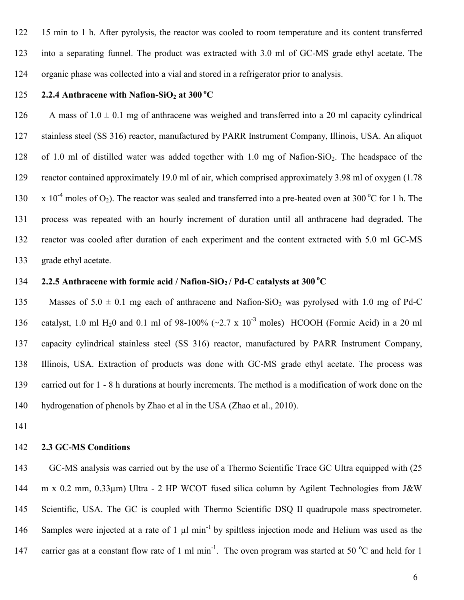15 min to 1 h. After pyrolysis, the reactor was cooled to room temperature and its content transferred into a separating funnel. The product was extracted with 3.0 ml of GC-MS grade ethyl acetate. The organic phase was collected into a vial and stored in a refrigerator prior to analysis.

# **2.2.4 Anthracene with Nafion-SiO<sub>2</sub> at 300 °C**

126 A mass of  $1.0 \pm 0.1$  mg of anthracene was weighed and transferred into a 20 ml capacity cylindrical stainless steel (SS 316) reactor, manufactured by PARR Instrument Company, Illinois, USA. An aliquot 128 of 1.0 ml of distilled water was added together with 1.0 mg of Nafion-SiO<sub>2</sub>. The headspace of the reactor contained approximately 19.0 ml of air, which comprised approximately 3.98 ml of oxygen (1.78  $\times$  10<sup>-4</sup> moles of O<sub>2</sub>). The reactor was sealed and transferred into a pre-heated oven at 300 °C for 1 h. The process was repeated with an hourly increment of duration until all anthracene had degraded. The reactor was cooled after duration of each experiment and the content extracted with 5.0 ml GC-MS grade ethyl acetate.

# 134 **2.2.5 Anthracene with formic acid / Nafion-SiO<sub>2</sub> / Pd-C catalysts at 300 °C**

135 Masses of  $5.0 \pm 0.1$  mg each of anthracene and Nafion-SiO<sub>2</sub> was pyrolysed with 1.0 mg of Pd-C 136 catalyst, 1.0 ml H<sub>2</sub>0 and 0.1 ml of 98-100% ( $\sim$ 2.7 x 10<sup>-3</sup> moles) HCOOH (Formic Acid) in a 20 ml capacity cylindrical stainless steel (SS 316) reactor, manufactured by PARR Instrument Company, Illinois, USA. Extraction of products was done with GC-MS grade ethyl acetate. The process was carried out for 1 - 8 h durations at hourly increments. The method is a modification of work done on the hydrogenation of phenols by Zhao et al in the USA (Zhao et al., 2010).

#### **2.3 GC-MS Conditions**

 GC-MS analysis was carried out by the use of a Thermo Scientific Trace GC Ultra equipped with (25 144 m x 0.2 mm, 0.33µm) Ultra - 2 HP WCOT fused silica column by Agilent Technologies from J&W Scientific, USA. The GC is coupled with Thermo Scientific DSQ II quadrupole mass spectrometer. 146 Samples were injected at a rate of 1  $\mu$ l min<sup>-1</sup> by spiltless injection mode and Helium was used as the 147 carrier gas at a constant flow rate of 1 ml min<sup>-1</sup>. The oven program was started at 50  $\degree$ C and held for 1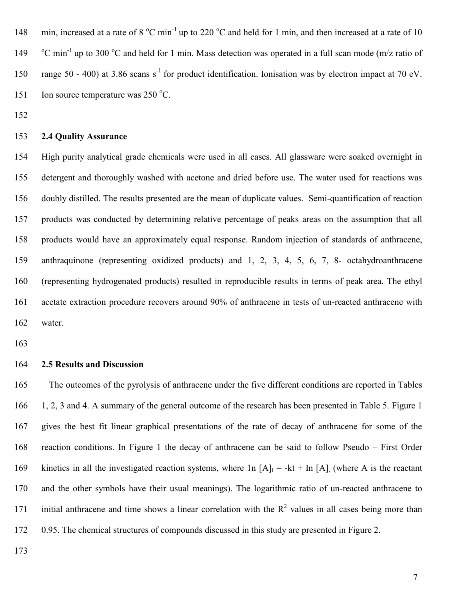148 min, increased at a rate of  $8^{\circ}$ C min<sup>-1</sup> up to 220  $^{\circ}$ C and held for 1 min, and then increased at a rate of 10 149  $^{\circ}$ C min<sup>-1</sup> up to 300  $^{\circ}$ C and held for 1 min. Mass detection was operated in a full scan mode (m/z ratio of 150 range 50 - 400) at 3.86 scans s<sup>-1</sup> for product identification. Ionisation was by electron impact at 70 eV. 151 Ion source temperature was  $250^{\circ}$ C.

#### **2.4 Quality Assurance**

 High purity analytical grade chemicals were used in all cases. All glassware were soaked overnight in detergent and thoroughly washed with acetone and dried before use. The water used for reactions was doubly distilled. The results presented are the mean of duplicate values. Semi-quantification of reaction products was conducted by determining relative percentage of peaks areas on the assumption that all products would have an approximately equal response. Random injection of standards of anthracene, anthraquinone (representing oxidized products) and 1, 2, 3, 4, 5, 6, 7, 8- octahydroanthracene (representing hydrogenated products) resulted in reproducible results in terms of peak area. The ethyl acetate extraction procedure recovers around 90% of anthracene in tests of un-reacted anthracene with water.

#### **2.5 Results and Discussion**

 The outcomes of the pyrolysis of anthracene under the five different conditions are reported in Tables 1, 2, 3 and 4. A summary of the general outcome of the research has been presented in Table 5. Figure 1 gives the best fit linear graphical presentations of the rate of decay of anthracene for some of the reaction conditions. In Figure 1 the decay of anthracene can be said to follow Pseudo – First Order 169 kinetics in all the investigated reaction systems, where  $\ln |A|_t = -kt + \ln |A|$ , (where A is the reactant and the other symbols have their usual meanings). The logarithmic ratio of un-reacted anthracene to 171 initial anthracene and time shows a linear correlation with the  $R<sup>2</sup>$  values in all cases being more than 0.95. The chemical structures of compounds discussed in this study are presented in Figure 2.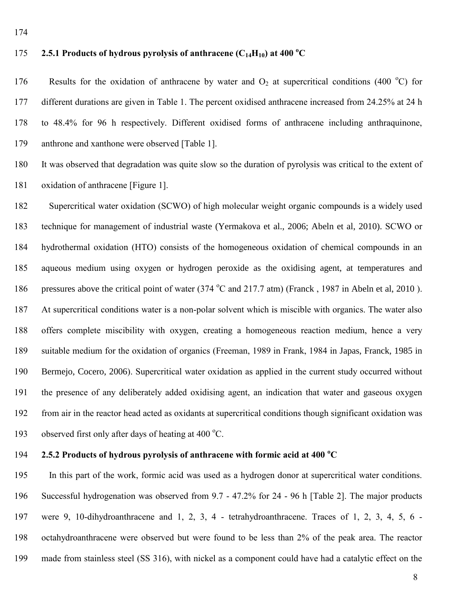# **2.5.1 Products of hydrous pyrolysis of anthracene (** $C_{14}H_{10}$ **) at 400 °C**

176 Results for the oxidation of anthracene by water and  $O_2$  at supercritical conditions (400 °C) for different durations are given in Table 1. The percent oxidised anthracene increased from 24.25% at 24 h to 48.4% for 96 h respectively. Different oxidised forms of anthracene including anthraquinone, anthrone and xanthone were observed [Table 1].

 It was observed that degradation was quite slow so the duration of pyrolysis was critical to the extent of oxidation of anthracene [Figure 1].

 Supercritical water oxidation (SCWO) of high molecular weight organic compounds is a widely used technique for management of industrial waste (Yermakova et al., 2006; Abeln et al, 2010). SCWO or hydrothermal oxidation (HTO) consists of the homogeneous oxidation of chemical compounds in an aqueous medium using oxygen or hydrogen peroxide as the oxidising agent, at temperatures and 186 pressures above the critical point of water (374 °C and 217.7 atm) (Franck, 1987 in Abeln et al, 2010). At supercritical conditions water is a non-polar solvent which is miscible with organics. The water also offers complete miscibility with oxygen, creating a homogeneous reaction medium, hence a very suitable medium for the oxidation of organics (Freeman, 1989 in Frank, 1984 in Japas, Franck, 1985 in Bermejo, Cocero, 2006). Supercritical water oxidation as applied in the current study occurred without the presence of any deliberately added oxidising agent, an indication that water and gaseous oxygen from air in the reactor head acted as oxidants at supercritical conditions though significant oxidation was 193 observed first only after days of heating at 400  $^{\circ}$ C.

### **2.5.2 Products of hydrous pyrolysis of anthracene with formic acid at 400 °C**

 In this part of the work, formic acid was used as a hydrogen donor at supercritical water conditions. Successful hydrogenation was observed from 9.7 - 47.2% for 24 - 96 h [Table 2]. The major products were 9, 10-dihydroanthracene and 1, 2, 3, 4 - tetrahydroanthracene. Traces of 1, 2, 3, 4, 5, 6 - octahydroanthracene were observed but were found to be less than 2% of the peak area. The reactor made from stainless steel (SS 316), with nickel as a component could have had a catalytic effect on the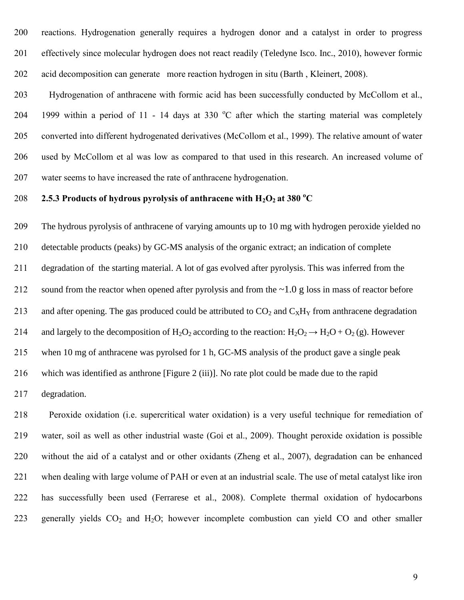reactions. Hydrogenation generally requires a hydrogen donor and a catalyst in order to progress effectively since molecular hydrogen does not react readily (Teledyne Isco. Inc., 2010), however formic acid decomposition can generate more reaction hydrogen in situ (Barth , Kleinert, 2008).

 Hydrogenation of anthracene with formic acid has been successfully conducted by McCollom et al., 204 1999 within a period of 11 - 14 days at 330  $^{\circ}$ C after which the starting material was completely converted into different hydrogenated derivatives (McCollom et al., 1999). The relative amount of water used by McCollom et al was low as compared to that used in this research. An increased volume of water seems to have increased the rate of anthracene hydrogenation.

# 208 2.5.3 Products of hydrous pyrolysis of anthracene with H<sub>2</sub>O<sub>2</sub> at 380 °C

 The hydrous pyrolysis of anthracene of varying amounts up to 10 mg with hydrogen peroxide yielded no detectable products (peaks) by GC-MS analysis of the organic extract; an indication of complete degradation of the starting material. A lot of gas evolved after pyrolysis. This was inferred from the 212 sound from the reactor when opened after pyrolysis and from the  $\sim$ 1.0 g loss in mass of reactor before 213 and after opening. The gas produced could be attributed to  $CO_2$  and  $C_XH_Y$  from anthracene degradation 214 and largely to the decomposition of H<sub>2</sub>O<sub>2</sub> according to the reaction: H<sub>2</sub>O<sub>2</sub>  $\rightarrow$  H<sub>2</sub>O + O<sub>2</sub> (g). However when 10 mg of anthracene was pyrolsed for 1 h, GC-MS analysis of the product gave a single peak which was identified as anthrone [Figure 2 (iii)]. No rate plot could be made due to the rapid degradation.

 Peroxide oxidation (i.e. supercritical water oxidation) is a very useful technique for remediation of water, soil as well as other industrial waste (Goi et al., 2009). Thought peroxide oxidation is possible without the aid of a catalyst and or other oxidants (Zheng et al., 2007), degradation can be enhanced when dealing with large volume of PAH or even at an industrial scale. The use of metal catalyst like iron has successfully been used (Ferrarese et al., 2008). Complete thermal oxidation of hydocarbons 223 generally yields  $CO<sub>2</sub>$  and  $H<sub>2</sub>O$ ; however incomplete combustion can yield CO and other smaller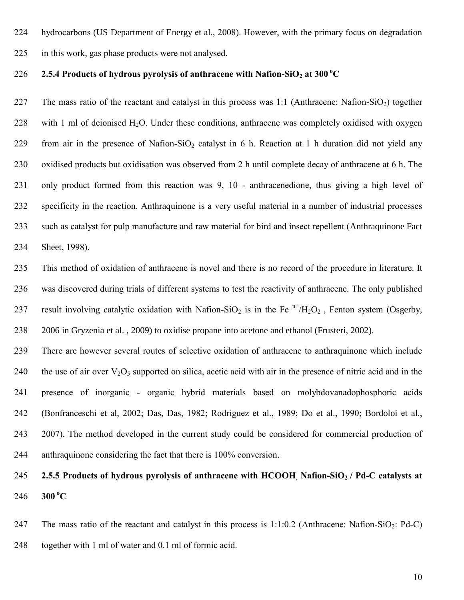- hydrocarbons (US Department of Energy et al., 2008). However, with the primary focus on degradation
- in this work, gas phase products were not analysed.

# 226 **2.5.4 Products of hydrous pyrolysis of anthracene with Nafion-SiO<sub>2</sub> at 300 °C**

227 The mass ratio of the reactant and catalyst in this process was 1:1 (Anthracene: Nafion-SiO<sub>2</sub>) together 228 with 1 ml of deionised  $H_2O$ . Under these conditions, anthracene was completely oxidised with oxygen 229 from air in the presence of Nafion-SiO<sub>2</sub> catalyst in 6 h. Reaction at 1 h duration did not yield any oxidised products but oxidisation was observed from 2 h until complete decay of anthracene at 6 h. The only product formed from this reaction was 9, 10 - anthracenedione, thus giving a high level of specificity in the reaction. Anthraquinone is a very useful material in a number of industrial processes such as catalyst for pulp manufacture and raw material for bird and insect repellent (Anthraquinone Fact Sheet, 1998).

 This method of oxidation of anthracene is novel and there is no record of the procedure in literature. It was discovered during trials of different systems to test the reactivity of anthracene. The only published 237 result involving catalytic oxidation with Nafion-SiO<sub>2</sub> is in the Fe  $n+ /H_2O_2$ , Fenton system (Osgerby, [2006](http://www.sciencedirect.com/science?_ob=ArticleURL&_udi=B6V74-4X1R2R6-1&_user=1506247&_coverDate=10%2F31%2F2009&_alid=1608923082&_rdoc=9&_fmt=high&_orig=search&_origin=search&_zone=rslt_list_item&_cdi=5832&_sort=r&_st=13&_docanchor=&view=c&_ct=808&_acct=C000053227&_version=1&_urlVersion=0&_userid=1506247&md5=923f17252bf924436162c8e2e2d17488&searchtype=a#bib20) in Gryzenia et al. , 2009) to oxidise propane into acetone and ethanol (Frusteri, 2002).

 There are however several routes of selective oxidation of anthracene to anthraquinone which include 240 the use of air over  $V_2O_5$  supported on silica, acetic acid with air in the presence of nitric acid and in the presence of inorganic - organic hybrid materials based on molybdovanadophosphoric acids (Bonfranceschi et al, 2002; Das, Das, 1982; Rodriguez et al., 1989; Do et al., 1990; Bordoloi et al., 2007). The method developed in the current study could be considered for commercial production of anthraquinone considering the fact that there is 100% conversion.

# **2.5.5 Products of hydrous pyrolysis of anthracene with HCOOH, Nafion-SiO2 / Pd-C catalysts at 300** °C

247 The mass ratio of the reactant and catalyst in this process is  $1:1:0.2$  (Anthracene: Nafion-SiO<sub>2</sub>: Pd-C) together with 1 ml of water and 0.1 ml of formic acid.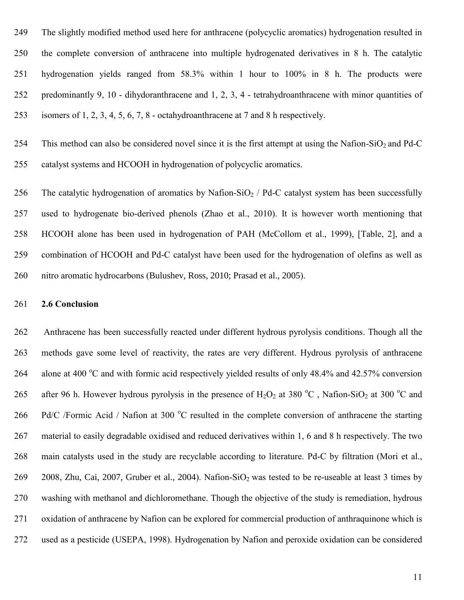The slightly modified method used here for anthracene (polycyclic aromatics) hydrogenation resulted in the complete conversion of anthracene into multiple hydrogenated derivatives in 8 h. The catalytic hydrogenation yields ranged from 58.3% within 1 hour to 100% in 8 h. The products were predominantly 9, 10 - dihydoranthracene and 1, 2, 3, 4 - tetrahydroanthracene with minor quantities of isomers of 1, 2, 3, 4, 5, 6, 7, 8 - octahydroanthracene at 7 and 8 h respectively.

254 This method can also be considered novel since it is the first attempt at using the Nafion-SiO<sub>2</sub> and Pd-C catalyst systems and HCOOH in hydrogenation of polycyclic aromatics.

256 The catalytic hydrogenation of aromatics by Nafion-SiO<sub>2</sub> / Pd-C catalyst system has been successfully used to hydrogenate bio-derived phenols (Zhao et al., 2010). It is however worth mentioning that HCOOH alone has been used in hydrogenation of PAH (McCollom et al., 1999), [Table, 2], and a combination of HCOOH and Pd-C catalyst have been used for the hydrogenation of olefins as well as nitro aromatic hydrocarbons (Bulushev, Ross, 2010; Prasad et al., 2005).

#### **2.6 Conclusion**

 Anthracene has been successfully reacted under different hydrous pyrolysis conditions. Though all the methods gave some level of reactivity, the rates are very different. Hydrous pyrolysis of anthracene 264 alone at 400 °C and with formic acid respectively yielded results of only 48.4% and 42.57% conversion 265 after 96 h. However hydrous pyrolysis in the presence of  $H_2O_2$  at 380 °C, Nafion-SiO<sub>2</sub> at 300 °C and 266 Pd/C /Formic Acid / Nafion at 300 °C resulted in the complete conversion of anthracene the starting material to easily degradable oxidised and reduced derivatives within 1, 6 and 8 h respectively. The two main catalysts used in the study are recyclable according to literature. Pd-C by filtration (Mori et al., 269 2008, Zhu, Cai, 2007, Gruber et al., 2004). Nafion-SiO<sub>2</sub> was tested to be re-useable at least 3 times by washing with methanol and dichloromethane. Though the objective of the study is remediation, hydrous oxidation of anthracene by Nafion can be explored for commercial production of anthraquinone which is used as a pesticide (USEPA, 1998). Hydrogenation by Nafion and peroxide oxidation can be considered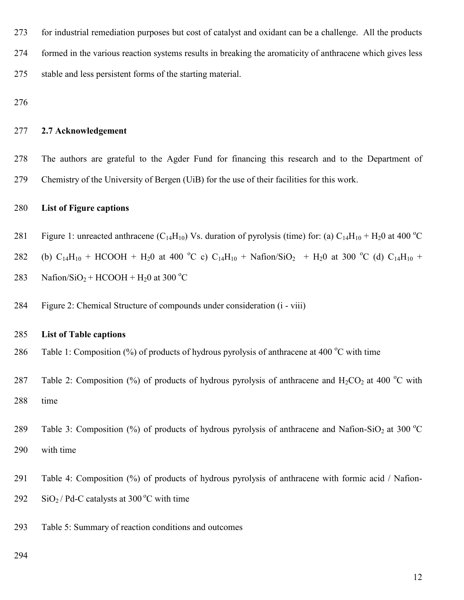for industrial remediation purposes but cost of catalyst and oxidant can be a challenge. All the products formed in the various reaction systems results in breaking the aromaticity of anthracene which gives less stable and less persistent forms of the starting material.

#### **2.7 Acknowledgement**

 The authors are grateful to the Agder Fund for financing this research and to the Department of Chemistry of the University of Bergen (UiB) for the use of their facilities for this work.

#### **List of Figure captions**

- 281 Figure 1: unreacted anthracene (C<sub>14</sub>H<sub>10</sub>) Vs. duration of pyrolysis (time) for: (a) C<sub>14</sub>H<sub>10</sub> + H<sub>2</sub>0 at 400 °C
- 282 (b)  $C_{14}H_{10}$  + HCOOH + H<sub>2</sub>0 at 400 °C c)  $C_{14}H_{10}$  + Nafion/SiO<sub>2</sub> + H<sub>2</sub>0 at 300 °C (d)  $C_{14}H_{10}$  +
- 283 Nafion/SiO<sub>2</sub> + HCOOH + H<sub>2</sub>0 at 300 °C
- Figure 2: Chemical Structure of compounds under consideration (i viii)

#### **List of Table captions**

286 Table 1: Composition  $\frac{6}{6}$  of products of hydrous pyrolysis of anthracene at 400 °C with time

- 287 Table 2: Composition (%) of products of hydrous pyrolysis of anthracene and  $H_2CO_2$  at 400 °C with time
- 289 Table 3: Composition (%) of products of hydrous pyrolysis of anthracene and Nafion-SiO<sub>2</sub> at 300 °C with time
- Table 4: Composition (%) of products of hydrous pyrolysis of anthracene with formic acid / Nafion-
- $292 \text{ SiO}_2$  / Pd-C catalysts at 300 °C with time
- Table 5: Summary of reaction conditions and outcomes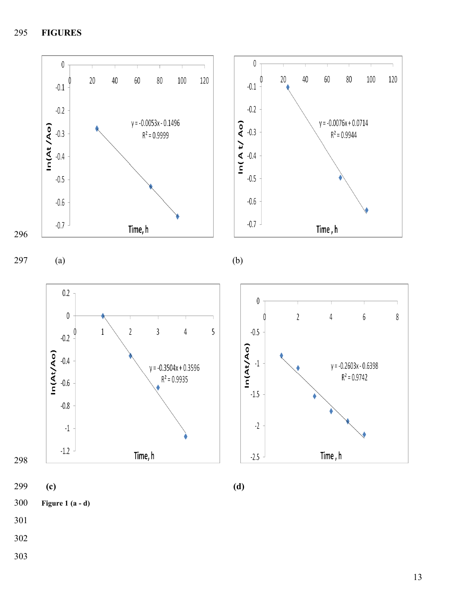**FIGURES**



- 
- 
-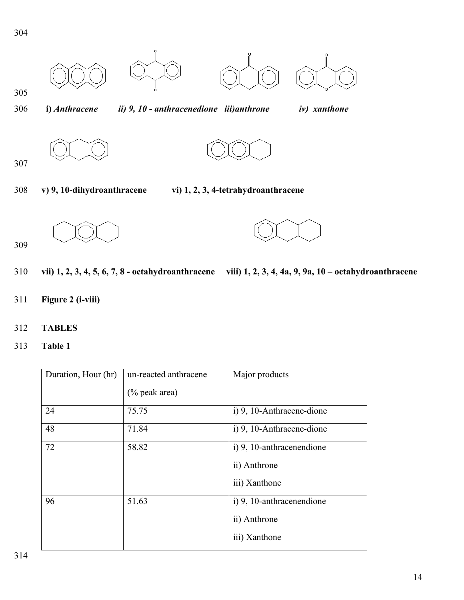

| Duration, Hour (hr) | un-reacted anthracene | Major products            |
|---------------------|-----------------------|---------------------------|
|                     | $(\%$ peak area)      |                           |
| 24                  | 75.75                 | i) 9, 10-Anthracene-dione |
| 48                  | 71.84                 | i) 9, 10-Anthracene-dione |
| 72                  | 58.82                 | i) 9, 10-anthracenendione |
|                     |                       | ii) Anthrone              |
|                     |                       | iii) Xanthone             |
| 96                  | 51.63                 | i) 9, 10-anthracenendione |
|                     |                       | ii) Anthrone              |
|                     |                       | iii) Xanthone             |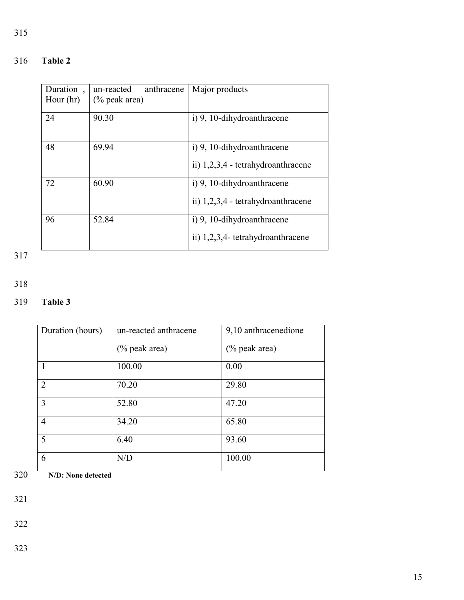| Duration<br>Hour $(hr)$ | anthracene<br>un-reacted<br>$(\%$ peak area) | Major products                                                   |
|-------------------------|----------------------------------------------|------------------------------------------------------------------|
| 24                      | 90.30                                        | i) 9, 10-dihydroanthracene                                       |
| 48                      | 69.94                                        | i) 9, 10-dihydroanthracene<br>ii) 1,2,3,4 - tetrahydroanthracene |
| 72                      | 60.90                                        | i) 9, 10-dihydroanthracene<br>ii) 1,2,3,4 - tetrahydroanthracene |
| 96                      | 52.84                                        | i) 9, 10-dihydroanthracene<br>ii) 1,2,3,4- tetrahydroanthracene  |

317

# 318

# 319 **Table 3**

| Duration (hours) | un-reacted anthracene | 9,10 anthracenedione |
|------------------|-----------------------|----------------------|
|                  | $(\%$ peak area)      | $(\%$ peak area)     |
|                  | 100.00                | 0.00                 |
| $\overline{2}$   | 70.20                 | 29.80                |
| 3                | 52.80                 | 47.20                |
| $\overline{4}$   | 34.20                 | 65.80                |
| 5                | 6.40                  | 93.60                |
| 6                | N/D                   | 100.00               |

320 **N/D: None detected**

321

322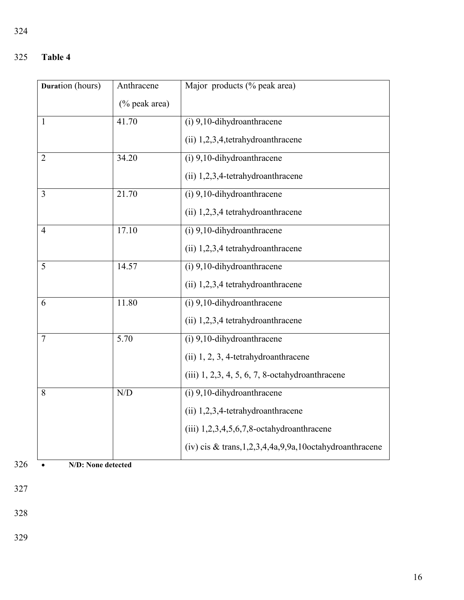| Duration (hours) | Anthracene    | Major products (% peak area)                                      |
|------------------|---------------|-------------------------------------------------------------------|
|                  | (% peak area) |                                                                   |
| 1                | 41.70         | $(i)$ 9,10-dihydroanthracene                                      |
|                  |               | (ii) 1,2,3,4,tetrahydroanthracene                                 |
| $\overline{2}$   | 34.20         | $(i)$ 9,10-dihydroanthracene                                      |
|                  |               | $(ii)$ 1,2,3,4-tetrahydroanthracene                               |
| 3                | 21.70         | (i) 9,10-dihydroanthracene                                        |
|                  |               | (ii) 1,2,3,4 tetrahydroanthracene                                 |
| $\overline{4}$   | 17.10         | $(i)$ 9,10-dihydroanthracene                                      |
|                  |               | (ii) 1,2,3,4 tetrahydroanthracene                                 |
| 5                | 14.57         | (i) 9,10-dihydroanthracene                                        |
|                  |               | $(ii)$ 1,2,3,4 tetrahydroanthracene                               |
| 6                | 11.80         | $(i)$ 9,10-dihydroanthracene                                      |
|                  |               | $(ii)$ 1,2,3,4 tetrahydroanthracene                               |
| $\overline{7}$   | 5.70          | $(i)$ 9,10-dihydroanthracene                                      |
|                  |               | (ii) 1, 2, 3, 4-tetrahydroanthracene                              |
|                  |               | $(iii)$ 1, 2,3, 4, 5, 6, 7, 8-octahydroanthracene                 |
| 8                | N/D           | (i) 9,10-dihydroanthracene                                        |
|                  |               | $(ii)$ 1,2,3,4-tetrahydroanthracene                               |
|                  |               | $(iii)$ 1,2,3,4,5,6,7,8-octahydroanthracene                       |
|                  |               | (iv) cis & trans, $1, 2, 3, 4, 4a, 9, 9a, 10$ octahydroanthracene |

326 **N/D: None detected**

327

328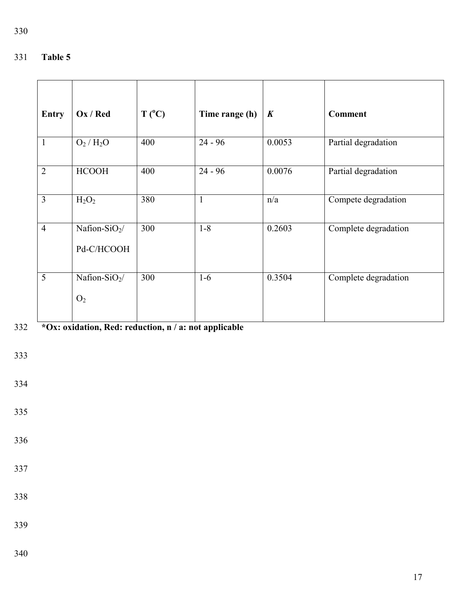| <b>Entry</b>   | Ox / Red                                    | $T(^{0}C)$ | Time range (h) | $\boldsymbol{K}$ | <b>Comment</b>       |
|----------------|---------------------------------------------|------------|----------------|------------------|----------------------|
| $\mathbf{1}$   | $\overline{O_2/H_2O}$                       | 400        | $24 - 96$      | 0.0053           | Partial degradation  |
| $\overline{2}$ | <b>HCOOH</b>                                | 400        | $24 - 96$      | 0.0076           | Partial degradation  |
| $\overline{3}$ | $H_2O_2$                                    | 380        | $\mathbf{1}$   | n/a              | Compete degradation  |
| $\overline{4}$ | Nafion-SiO $_2/$<br>Pd-C/HCOOH              | 300        | $1 - 8$        | 0.2603           | Complete degradation |
| 5              | Nafion-SiO <sub>2</sub> /<br>O <sub>2</sub> | 300        | $1-6$          | 0.3504           | Complete degradation |

# **\*Ox: oxidation, Red: reduction, n / a: not applicable**

- 
-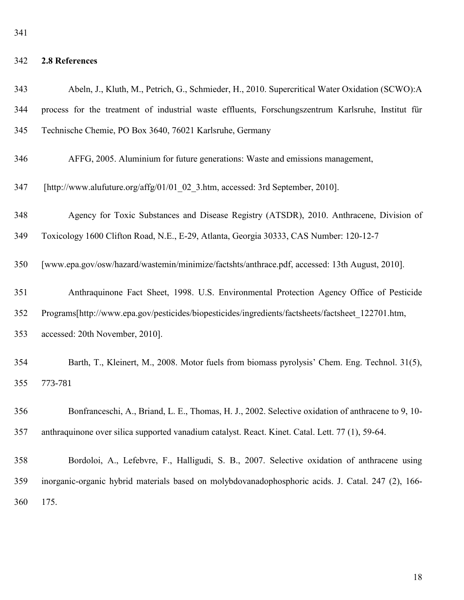# **2.8 References**

| 343 | Abeln, J., Kluth, M., Petrich, G., Schmieder, H., 2010. Supercritical Water Oxidation (SCWO):A     |
|-----|----------------------------------------------------------------------------------------------------|
| 344 | process for the treatment of industrial waste effluents, Forschungszentrum Karlsruhe, Institut für |
| 345 | Technische Chemie, PO Box 3640, 76021 Karlsruhe, Germany                                           |
| 346 | AFFG, 2005. Aluminium for future generations: Waste and emissions management,                      |
| 347 | [http://www.alufuture.org/affg/01/01 02 3.htm, accessed: 3rd September, 2010].                     |
| 348 | Agency for Toxic Substances and Disease Registry (ATSDR), 2010. Anthracene, Division of            |
| 349 | Toxicology 1600 Clifton Road, N.E., E-29, Atlanta, Georgia 30333, CAS Number: 120-12-7             |
| 350 | [www.epa.gov/osw/hazard/wastemin/minimize/factshts/anthrace.pdf, accessed: 13th August, 2010].     |
| 351 | Anthraquinone Fact Sheet, 1998. U.S. Environmental Protection Agency Office of Pesticide           |
| 352 | Programs[http://www.epa.gov/pesticides/biopesticides/ingredients/factsheets/factsheet 122701.htm,  |
| 353 | accessed: 20th November, 2010].                                                                    |
| 354 | Barth, T., Kleinert, M., 2008. Motor fuels from biomass pyrolysis' Chem. Eng. Technol. 31(5),      |
| 355 | 773-781                                                                                            |
| 356 | Bonfranceschi, A., Briand, L. E., Thomas, H. J., 2002. Selective oxidation of anthracene to 9, 10- |
| 357 | anthraquinone over silica supported vanadium catalyst. React. Kinet. Catal. Lett. 77 (1), 59-64.   |
| 358 | Bordoloi, A., Lefebvre, F., Halligudi, S. B., 2007. Selective oxidation of anthracene using        |
| 359 | inorganic-organic hybrid materials based on molybdovanadophosphoric acids. J. Catal. 247 (2), 166- |
| 360 | 175.                                                                                               |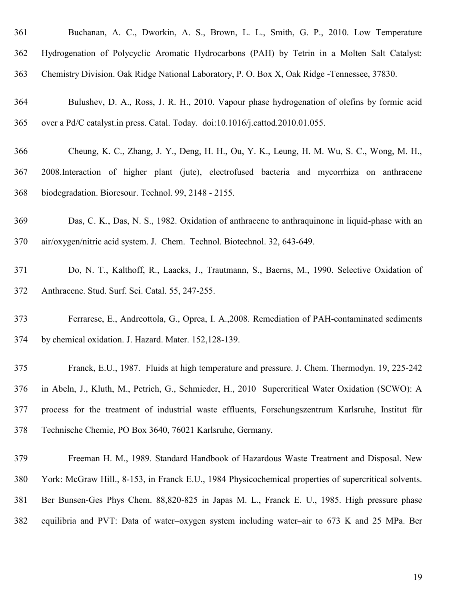| 361 | Buchanan, A. C., Dworkin, A. S., Brown, L. L., Smith, G. P., 2010. Low Temperature                    |
|-----|-------------------------------------------------------------------------------------------------------|
| 362 | Hydrogenation of Polycyclic Aromatic Hydrocarbons (PAH) by Tetrin in a Molten Salt Catalyst:          |
| 363 | Chemistry Division. Oak Ridge National Laboratory, P. O. Box X, Oak Ridge -Tennessee, 37830.          |
| 364 | Bulushev, D. A., Ross, J. R. H., 2010. Vapour phase hydrogenation of olefins by formic acid           |
| 365 | over a Pd/C catalyst.in press. Catal. Today. doi:10.1016/j.cattod.2010.01.055.                        |
| 366 | Cheung, K. C., Zhang, J. Y., Deng, H. H., Ou, Y. K., Leung, H. M. Wu, S. C., Wong, M. H.,             |
| 367 | 2008.Interaction of higher plant (jute), electrofused bacteria and mycorrhiza on anthracene           |
| 368 | biodegradation. Bioresour. Technol. 99, 2148 - 2155.                                                  |
| 369 | Das, C. K., Das, N. S., 1982. Oxidation of anthracene to anthraquinone in liquid-phase with an        |
| 370 | air/oxygen/nitric acid system. J. Chem. Technol. Biotechnol. 32, 643-649.                             |
| 371 | Do, N. T., Kalthoff, R., Laacks, J., Trautmann, S., Baerns, M., 1990. Selective Oxidation of          |
| 372 | Anthracene. Stud. Surf. Sci. Catal. 55, 247-255.                                                      |
| 373 | Ferrarese, E., Andreottola, G., Oprea, I. A., 2008. Remediation of PAH-contaminated sediments         |
| 374 | by chemical oxidation. J. Hazard. Mater. 152,128-139.                                                 |
| 375 | Franck, E.U., 1987. Fluids at high temperature and pressure. J. Chem. Thermodyn. 19, 225-242          |
| 376 | in Abeln, J., Kluth, M., Petrich, G., Schmieder, H., 2010 Supercritical Water Oxidation (SCWO): A     |
| 377 | process for the treatment of industrial waste effluents, Forschungszentrum Karlsruhe, Institut für    |
| 378 | Technische Chemie, PO Box 3640, 76021 Karlsruhe, Germany.                                             |
| 379 | Freeman H. M., 1989. Standard Handbook of Hazardous Waste Treatment and Disposal. New                 |
| 380 | York: McGraw Hill., 8-153, in Franck E.U., 1984 Physicochemical properties of supercritical solvents. |
| 381 | Ber Bunsen-Ges Phys Chem. 88,820-825 in Japas M. L., Franck E. U., 1985. High pressure phase          |
| 382 | equilibria and PVT: Data of water-oxygen system including water-air to 673 K and 25 MPa. Ber          |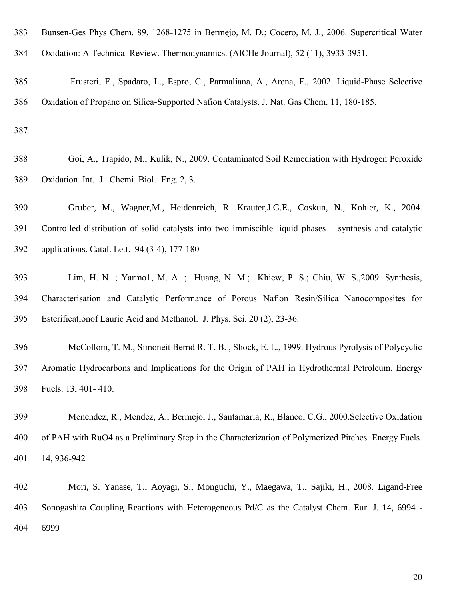| 383 | Bunsen-Ges Phys Chem. 89, 1268-1275 in Bermejo, M. D.; Cocero, M. J., 2006. Supercritical Water        |
|-----|--------------------------------------------------------------------------------------------------------|
| 384 | Oxidation: A Technical Review. Thermodynamics. (AICHe Journal), 52 (11), 3933-3951.                    |
| 385 | Frusteri, F., Spadaro, L., Espro, C., Parmaliana, A., Arena, F., 2002. Liquid-Phase Selective          |
| 386 | Oxidation of Propane on Silica-Supported Nafion Catalysts. J. Nat. Gas Chem. 11, 180-185.              |
| 387 |                                                                                                        |
| 388 | Goi, A., Trapido, M., Kulik, N., 2009. Contaminated Soil Remediation with Hydrogen Peroxide            |
| 389 | Oxidation. Int. J. Chemi. Biol. Eng. 2, 3.                                                             |
| 390 | Gruber, M., Wagner, M., Heidenreich, R. Krauter, J.G.E., Coskun, N., Kohler, K., 2004.                 |
| 391 | Controlled distribution of solid catalysts into two immiscible liquid phases – synthesis and catalytic |
| 392 | applications. Catal. Lett. 94 (3-4), 177-180                                                           |
| 393 | Lim, H. N.; Yarmo1, M. A.; Huang, N. M.; Khiew, P. S.; Chiu, W. S., 2009. Synthesis,                   |
| 394 | Characterisation and Catalytic Performance of Porous Nafion Resin/Silica Nanocomposites for            |
| 395 | Esterification of Lauric Acid and Methanol. J. Phys. Sci. 20 (2), 23-36.                               |
| 396 | McCollom, T. M., Simoneit Bernd R. T. B., Shock, E. L., 1999. Hydrous Pyrolysis of Polycyclic          |
| 397 | Aromatic Hydrocarbons and Implications for the Origin of PAH in Hydrothermal Petroleum. Energy         |
| 398 | Fuels. 13, 401-410.                                                                                    |
| 399 | Menendez, R., Mendez, A., Bermejo, J., Santamaria, R., Blanco, C.G., 2000. Selective Oxidation         |
| 400 | of PAH with RuO4 as a Preliminary Step in the Characterization of Polymerized Pitches. Energy Fuels.   |
| 401 | 14, 936-942                                                                                            |
| 402 | Mori, S. Yanase, T., Aoyagi, S., Monguchi, Y., Maegawa, T., Sajiki, H., 2008. Ligand-Free              |
| 403 | Sonogashira Coupling Reactions with Heterogeneous Pd/C as the Catalyst Chem. Eur. J. 14, 6994 -        |
| 404 | 6999                                                                                                   |
|     |                                                                                                        |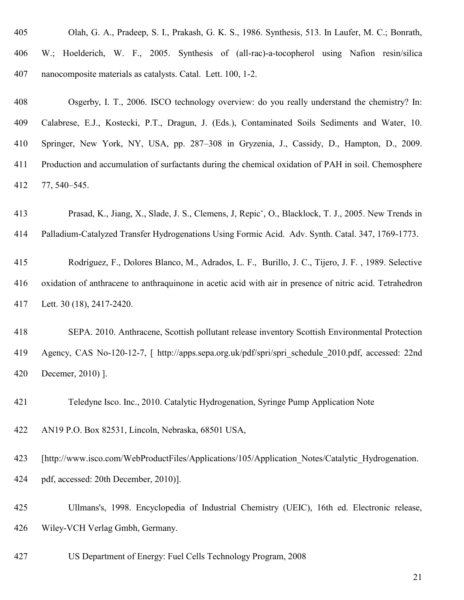| 405 | Olah, G. A., Pradeep, S. I., Prakash, G. K. S., 1986. Synthesis, 513. In Laufer, M. C.; Bonrath,         |
|-----|----------------------------------------------------------------------------------------------------------|
| 406 | W.; Hoelderich, W. F., 2005. Synthesis of (all-rac)-a-tocopherol using Nafion resin/silica               |
| 407 | nanocomposite materials as catalysts. Catal. Lett. 100, 1-2.                                             |
| 408 | Osgerby, I. T., 2006. ISCO technology overview: do you really understand the chemistry? In:              |
| 409 | Calabrese, E.J., Kostecki, P.T., Dragun, J. (Eds.), Contaminated Soils Sediments and Water, 10.          |
| 410 | Springer, New York, NY, USA, pp. 287–308 in Gryzenia, J., Cassidy, D., Hampton, D., 2009.                |
| 411 | Production and accumulation of surfactants during the chemical oxidation of PAH in soil. Chemosphere     |
| 412 | 77, 540-545.                                                                                             |
| 413 | Prasad, K., Jiang, X., Slade, J. S., Clemens, J. Repic, O., Blacklock, T. J., 2005. New Trends in        |
| 414 | Palladium-Catalyzed Transfer Hydrogenations Using Formic Acid. Adv. Synth. Catal. 347, 1769-1773.        |
| 415 | Rodríguez, F., Dolores Blanco, M., Adrados, L. F., Burillo, J. C., Tijero, J. F., 1989. Selective        |
| 416 | oxidation of anthracene to anthraquinone in acetic acid with air in presence of nitric acid. Tetrahedron |
| 417 | Lett. 30 (18), 2417-2420.                                                                                |
| 418 | SEPA. 2010. Anthracene, Scottish pollutant release inventory Scottish Environmental Protection           |
| 419 | Agency, CAS No-120-12-7, [ http://apps.sepa.org.uk/pdf/spri/spri_schedule_2010.pdf, accessed: 22nd       |
| 420 | Decemer, 2010) ].                                                                                        |
| 421 | Teledyne Isco. Inc., 2010. Catalytic Hydrogenation, Syringe Pump Application Note                        |
| 422 | AN19 P.O. Box 82531, Lincoln, Nebraska, 68501 USA,                                                       |
| 423 | [http://www.isco.com/WebProductFiles/Applications/105/Application_Notes/Catalytic_Hydrogenation.         |
| 424 | pdf, accessed: 20th December, 2010)].                                                                    |

 Ullmans's, 1998. Encyclopedia of Industrial Chemistry (UEIC), 16th ed. Electronic release, Wiley-VCH Verlag Gmbh, Germany.

US Department of Energy: Fuel Cells Technology Program, 2008